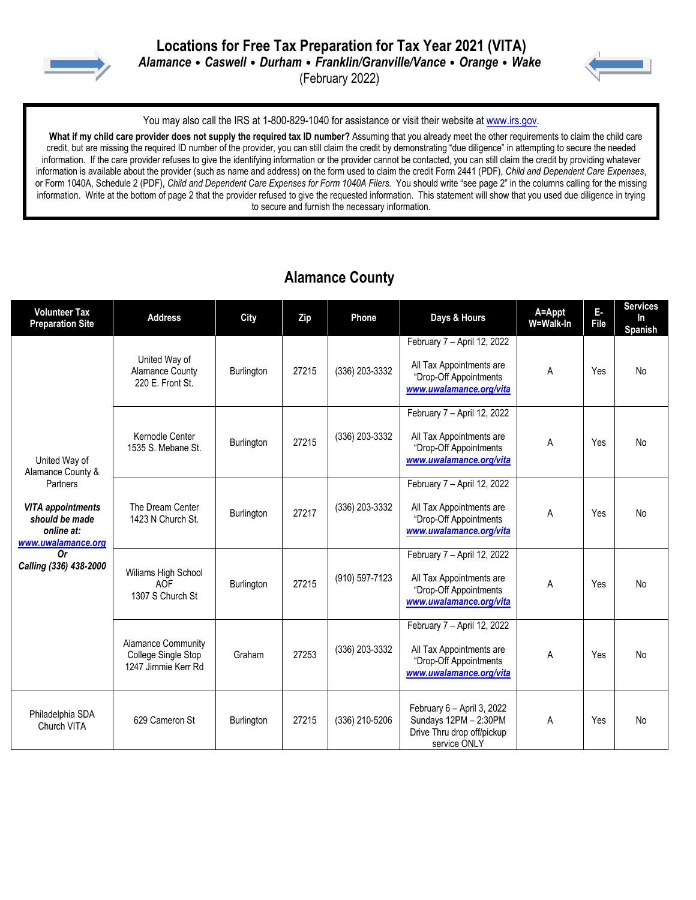



You may also call the IRS at 1-800-829-1040 for assistance or visit their website at [www.irs.gov.](http://www.irs.gov/)

 **What if my child care provider does not supply the required tax ID number?** Assuming that you already meet the other requirements to claim the child care credit, but are missing the required ID number of the provider, you can still claim the credit by demonstrating "due diligence" in attempting to secure the needed information. If the care provider refuses to give the identifying information or the provider cannot be contacted, you can still claim the credit by providing whatever information is available about the provider (such as name and address) on the form used to claim the credit Form 2441 (PDF), *Child and Dependent Care Expenses*, or Form 1040A, Schedule 2 (PDF), *Child and Dependent Care Expenses for Form 1040A Filers.* You should write "see page 2" in the columns calling for the missing information. Write at the bottom of page 2 that the provider refused to give the requested information. This statement will show that you used due diligence in trying to secure and furnish the necessary information.

#### **Alamance County**

| <b>Volunteer Tax</b><br><b>Preparation Site</b>                                                                                                                         | <b>Address</b>                                                          | City              | Zip   | Phone          | Days & Hours                                                                                                 | A=Appt<br>W=Walk-In | E-<br>File | <b>Services</b><br>In<br>Spanish |
|-------------------------------------------------------------------------------------------------------------------------------------------------------------------------|-------------------------------------------------------------------------|-------------------|-------|----------------|--------------------------------------------------------------------------------------------------------------|---------------------|------------|----------------------------------|
| United Way of<br>Alamance County &<br>Partners<br><b>VITA appointments</b><br>should be made<br>online at:<br>www.uwalamance.org<br><b>Or</b><br>Calling (336) 438-2000 | United Way of<br><b>Alamance County</b><br>220 E. Front St.             | Burlington        | 27215 | (336) 203-3332 | February 7 - April 12, 2022<br>All Tax Appointments are<br>"Drop-Off Appointments<br>www.uwalamance.org/vita | A                   | Yes        | <b>No</b>                        |
|                                                                                                                                                                         | Kernodle Center<br>1535 S. Mebane St.                                   | Burlington        | 27215 | (336) 203-3332 | February 7 - April 12, 2022<br>All Tax Appointments are<br>"Drop-Off Appointments<br>www.uwalamance.org/vita | A                   | Yes        | <b>No</b>                        |
|                                                                                                                                                                         | The Dream Center<br>1423 N Church St.                                   | Burlington        | 27217 | (336) 203-3332 | February 7 - April 12, 2022<br>All Tax Appointments are<br>"Drop-Off Appointments<br>www.uwalamance.org/vita | Α                   | Yes        | No                               |
|                                                                                                                                                                         | Wiliams High School<br><b>AOF</b><br>1307 S Church St                   | Burlington        | 27215 | (910) 597-7123 | February 7 - April 12, 2022<br>All Tax Appointments are<br>"Drop-Off Appointments<br>www.uwalamance.org/vita | A                   | Yes        | No                               |
|                                                                                                                                                                         | <b>Alamance Community</b><br>College Single Stop<br>1247 Jimmie Kerr Rd | Graham            | 27253 | (336) 203-3332 | February 7 - April 12, 2022<br>All Tax Appointments are<br>"Drop-Off Appointments<br>www.uwalamance.org/vita | A                   | Yes        | <b>No</b>                        |
| Philadelphia SDA<br>Church VITA                                                                                                                                         | 629 Cameron St                                                          | <b>Burlington</b> | 27215 | (336) 210-5206 | February 6 - April 3, 2022<br>Sundays 12PM - 2:30PM<br>Drive Thru drop off/pickup<br>service ONLY            | A                   | Yes        | No                               |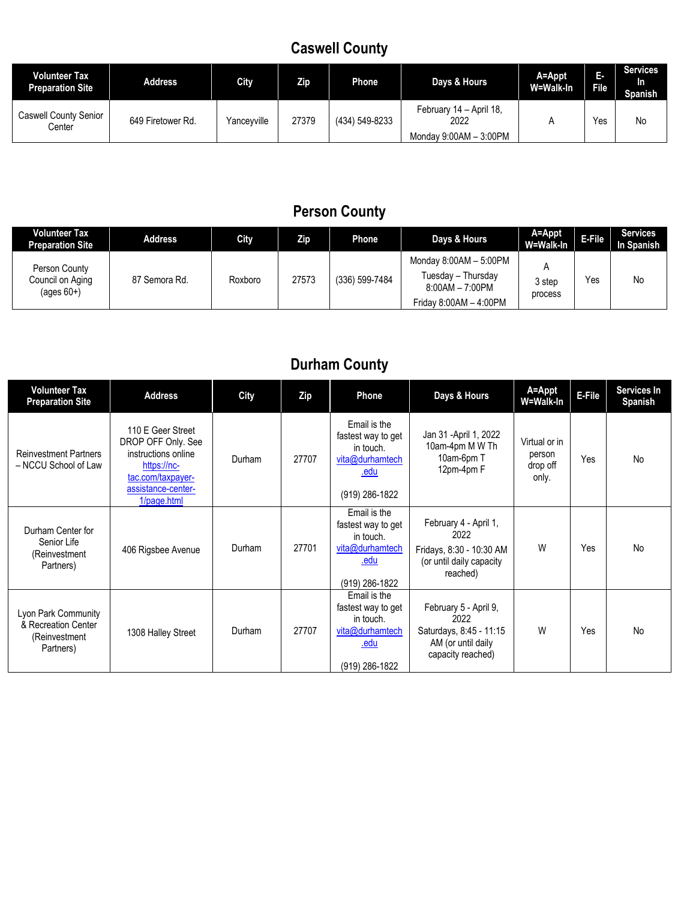### **Caswell County**

| <b>Volunteer Tax</b><br><b>Preparation Site</b> | Address           | <b>City</b> | Zip   | Phone          | Days & Hours                                              | A=Appt<br>W=Walk-In | т.<br><b>File</b> | <b>Services</b><br>In.<br><b>Spanish</b> |
|-------------------------------------------------|-------------------|-------------|-------|----------------|-----------------------------------------------------------|---------------------|-------------------|------------------------------------------|
| <b>Caswell County Senior</b><br>Center          | 649 Firetower Rd. | Yanceyville | 27379 | (434) 549-8233 | February 14 - April 18.<br>2022<br>Monday 9:00AM - 3:00PM |                     | Yes               | No                                       |

### **Person County**

| <b>Volunteer Tax</b><br><b>Preparation Site</b>   | Address       | City    | Zip   | Phone          | Days & Hours                                                                                | A=Appt<br>W=Walk-In | E-File | <b>Services</b><br>In Spanish |
|---------------------------------------------------|---------------|---------|-------|----------------|---------------------------------------------------------------------------------------------|---------------------|--------|-------------------------------|
| Person County<br>Council on Aging<br>$(aqes 60+)$ | 87 Semora Rd. | Roxboro | 27573 | (336) 599-7484 | Monday $8:00AM - 5:00PM$<br>Tuesday - Thursday<br>8:00AM - 7:00PM<br>Friday 8:00AM - 4:00PM | 3 step<br>process   | Yes    | No                            |

### **Durham County**

| <b>Volunteer Tax</b><br><b>Preparation Site</b>                          | <b>Address</b>                                                                                                                          | <b>City</b> | Zip   | Phone                                                                                        | Days & Hours                                                                                        | A=Appt<br>W=Walk-In                          | E-File | Services In<br>Spanish |
|--------------------------------------------------------------------------|-----------------------------------------------------------------------------------------------------------------------------------------|-------------|-------|----------------------------------------------------------------------------------------------|-----------------------------------------------------------------------------------------------------|----------------------------------------------|--------|------------------------|
| <b>Reinvestment Partners</b><br>- NCCU School of Law                     | 110 E Geer Street<br>DROP OFF Only. See<br>instructions online<br>https://nc-<br>tac.com/taxpayer-<br>assistance-center-<br>1/page.html | Durham      | 27707 | Email is the<br>fastest way to get<br>in touch.<br>vita@durhamtech<br>.edu<br>(919) 286-1822 | Jan 31 - April 1, 2022<br>10am-4pm M W Th<br>10am-6pm T<br>12pm-4pm F                               | Virtual or in<br>person<br>drop off<br>only. | Yes    | <b>No</b>              |
| Durham Center for<br>Senior Life<br>(Reinvestment<br>Partners)           | 406 Rigsbee Avenue                                                                                                                      | Durham      | 27701 | Email is the<br>fastest way to get<br>in touch.<br>vita@durhamtech<br>.edu<br>(919) 286-1822 | February 4 - April 1,<br>2022<br>Fridays, 8:30 - 10:30 AM<br>(or until daily capacity<br>reached)   | W                                            | Yes    | <b>No</b>              |
| Lyon Park Community<br>& Recreation Center<br>(Reinvestment<br>Partners) | 1308 Halley Street                                                                                                                      | Durham      | 27707 | Email is the<br>fastest way to get<br>in touch.<br>vita@durhamtech<br>.edu<br>(919) 286-1822 | February 5 - April 9,<br>2022<br>Saturdays, 8:45 - 11:15<br>AM (or until daily<br>capacity reached) | W                                            | Yes    | <b>No</b>              |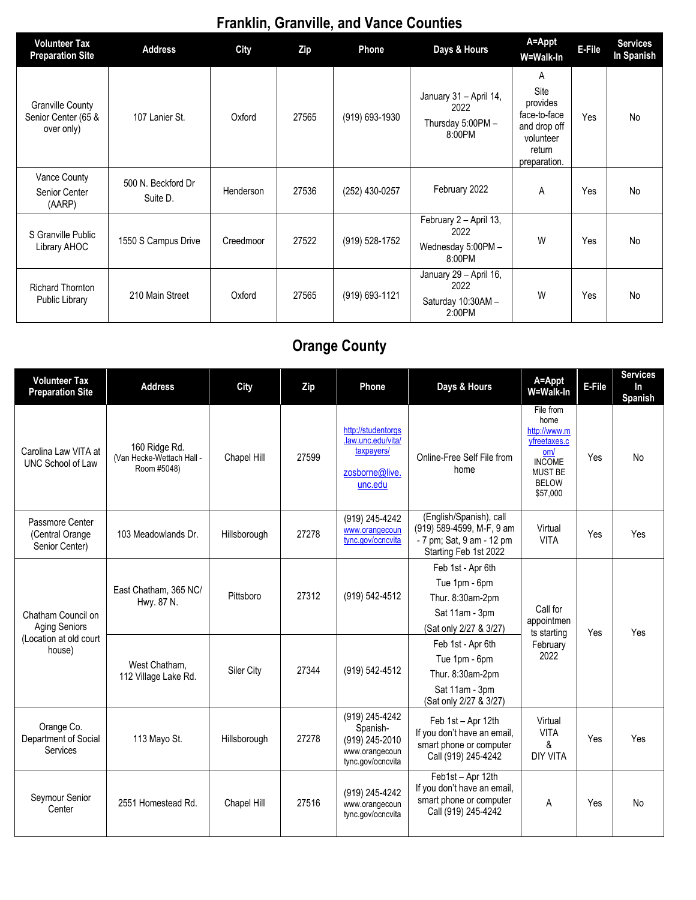# **Franklin, Granville, and Vance Counties**

| Volunteer Tax<br><b>Preparation Site</b>                     | <b>Address</b>                 | City      | Zip   | <b>Phone</b>   | Days & Hours                                                   | A=Appt<br>W=Walk-In                                                                          | E-File | <b>Services</b><br>In Spanish |
|--------------------------------------------------------------|--------------------------------|-----------|-------|----------------|----------------------------------------------------------------|----------------------------------------------------------------------------------------------|--------|-------------------------------|
| <b>Granville County</b><br>Senior Center (65 &<br>over only) | 107 Lanier St.                 | Oxford    | 27565 | (919) 693-1930 | January 31 - April 14,<br>2022<br>Thursday 5:00PM -<br>8:00PM  | A<br>Site<br>provides<br>face-to-face<br>and drop off<br>volunteer<br>return<br>preparation. | Yes    | No                            |
| Vance County<br>Senior Center<br>(AARP)                      | 500 N. Beckford Dr<br>Suite D. | Henderson | 27536 | (252) 430-0257 | February 2022                                                  | A                                                                                            | Yes    | No                            |
| S Granville Public<br>Library AHOC                           | 1550 S Campus Drive            | Creedmoor | 27522 | (919) 528-1752 | February 2 - April 13,<br>2022<br>Wednesday 5:00PM -<br>8:00PM | W                                                                                            | Yes    | No                            |
| <b>Richard Thornton</b><br>Public Library                    | 210 Main Street                | Oxford    | 27565 | (919) 693-1121 | January 29 - April 16,<br>2022<br>Saturday 10:30AM-<br>2:00PM  | W                                                                                            | Yes    | No                            |

# **Orange County**

| <b>Volunteer Tax</b><br><b>Preparation Site</b>                                | <b>Address</b>                                            | City         | Zip   | Phone                                                                               | Days & Hours                                                                                               | A=Appt<br>W=Walk-In                                                                                                     | E-File | <b>Services</b><br><b>In</b><br>Spanish |
|--------------------------------------------------------------------------------|-----------------------------------------------------------|--------------|-------|-------------------------------------------------------------------------------------|------------------------------------------------------------------------------------------------------------|-------------------------------------------------------------------------------------------------------------------------|--------|-----------------------------------------|
| Carolina Law VITA at<br>UNC School of Law                                      | 160 Ridge Rd.<br>(Van Hecke-Wettach Hall -<br>Room #5048) | Chapel Hill  | 27599 | http://studentorgs<br>.law.unc.edu/vita/<br>taxpayers/<br>zosborne@live.<br>unc.edu | Online-Free Self File from<br>home                                                                         | File from<br>home<br>http://www.m<br>vfreetaxes.c<br>om/<br><b>INCOME</b><br><b>MUST BE</b><br><b>BELOW</b><br>\$57,000 | Yes    | <b>No</b>                               |
| Passmore Center<br>(Central Orange)<br>Senior Center)                          | 103 Meadowlands Dr.                                       | Hillsborough | 27278 | (919) 245-4242<br>www.orangecoun<br>tync.gov/ocncvita                               | (English/Spanish), call<br>(919) 589-4599, M-F, 9 am<br>- 7 pm; Sat, 9 am - 12 pm<br>Starting Feb 1st 2022 | Virtual<br><b>VITA</b>                                                                                                  | Yes    | Yes                                     |
| Chatham Council on<br><b>Aging Seniors</b><br>(Location at old court<br>house) | East Chatham, 365 NC/<br>Hwy. 87 N.                       | Pittsboro    | 27312 | (919) 542-4512                                                                      | Feb 1st - Apr 6th<br>Tue 1pm - 6pm<br>Thur. 8:30am-2pm<br>Sat 11am - 3pm<br>(Sat only 2/27 & 3/27)         | Call for<br>appointmen<br>ts starting<br>February<br>2022                                                               | Yes    | Yes                                     |
|                                                                                | West Chatham.<br>112 Village Lake Rd.                     | Siler City   | 27344 | (919) 542-4512                                                                      | Feb 1st - Apr 6th<br>Tue 1pm - 6pm<br>Thur. 8:30am-2pm<br>Sat 11am - 3pm<br>(Sat only 2/27 & 3/27)         |                                                                                                                         |        |                                         |
| Orange Co.<br>Department of Social<br>Services                                 | 113 Mayo St.                                              | Hillsborough | 27278 | (919) 245-4242<br>Spanish-<br>(919) 245-2010<br>www.orangecoun<br>tync.gov/ocncvita | Feb 1st - Apr 12th<br>If you don't have an email,<br>smart phone or computer<br>Call (919) 245-4242        | Virtual<br><b>VITA</b><br>&<br><b>DIY VITA</b>                                                                          | Yes    | Yes                                     |
| Seymour Senior<br>Center                                                       | 2551 Homestead Rd.                                        | Chapel Hill  | 27516 | (919) 245-4242<br>www.orangecoun<br>tync.gov/ocncvita                               | Feb1st - Apr 12th<br>If you don't have an email,<br>smart phone or computer<br>Call (919) 245-4242         | A                                                                                                                       | Yes    | <b>No</b>                               |